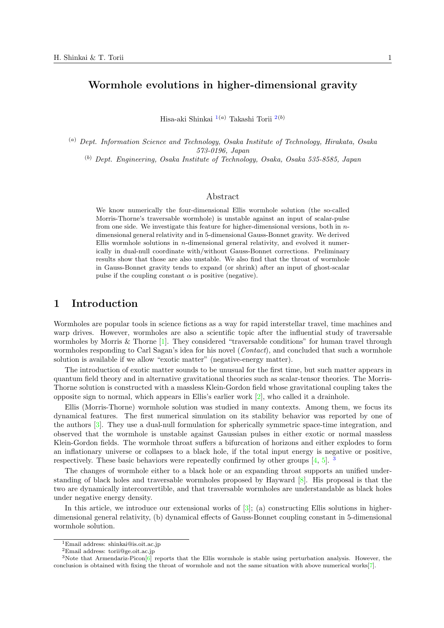# **Wormhole evolutions in higher-dimensional gravity**

Hisa-aki Shinkai 1(*a*) Takashi Torii 2(*b*)

(*a*) *Dept. Information Science and Technology, Osaka Institute of Technology, Hirakata, Osaka 573-0[19](#page-0-0)6, Japan*

(*b*) *Dept. Engineering, Osaka Institute of Technology, Osa[ka](#page-0-1), Osaka 535-8585, Japan*

### Abstract

We know numerically the four-dimensional Ellis wormhole solution (the so-called Morris-Thorne's traversable wormhole) is unstable against an input of scalar-pulse from one side. We investigate this feature for higher-dimensional versions, both in *n*dimensional general relativity and in 5-dimensional Gauss-Bonnet gravity. We derived Ellis wormhole solutions in *n*-dimensional general relativity, and evolved it numerically in dual-null coordinate with/without Gauss-Bonnet corrections. Preliminary results show that those are also unstable. We also find that the throat of wormhole in Gauss-Bonnet gravity tends to expand (or shrink) after an input of ghost-scalar pulse if the coupling constant  $\alpha$  is positive (negative).

## **1 Introduction**

Wormholes are popular tools in science fictions as a way for rapid interstellar travel, time machines and warp drives. However, wormholes are also a scientific topic after the influential study of traversable wormholes by Morris & Thorne [1]. They considered "traversable conditions" for human travel through wormholes responding to Carl Sagan's idea for his novel (*Contact*), and concluded that such a wormhole solution is available if we allow "exotic matter" (negative-energy matter).

The introduction of exotic matter sounds to be unusual for the first time, but such matter appears in quantum field theory and in alte[rn](#page-6-0)ative gravitational theories such as scalar-tensor theories. The Morris-Thorne solution is constructed with a massless Klein-Gordon field whose gravitational coupling takes the opposite sign to normal, which appears in Ellis's earlier work  $[2]$ , who called it a drainhole.

Ellis (Morris-Thorne) wormhole solution was studied in many contexts. Among them, we focus its dynamical features. The first numerical simulation on its stability behavior was reported by one of the authors [3]. They use a dual-null formulation for spherically symmetric space-time integration, and observed that the wormhole is unstable against Gaussian p[uls](#page-6-1)es in either exotic or normal massless Klein-Gordon fields. The wormhole throat suffers a bifurcation of horizons and either explodes to form an inflationary universe or collapses to a black hole, if the total input energy is negative or positive, respectively. [T](#page-6-2)hese basic behaviors were repeatedly confirmed by other groups  $[4, 5]$ .

The changes of wormhole either to a black hole or an expanding throat supports an unified understanding of black holes and traversable wormholes proposed by Hayward [8]. His proposal is that the two are dynamically interconvertible, and that traversable wormholes are understandable as black holes under negative energy density.

In this article, we introduce our extensional works of  $[3]$ ; (a) constructing Ellis solutions in higherdimensional general relativity, (b) dynamical effects of Gauss-Bonnet coupli[ng](#page-6-3) constant in 5-dimensional wormhole solution.

<sup>1</sup>Email address: shinkai@is.oit.ac.jp

<sup>2</sup>Email address: torii@ge.oit.ac.jp

<span id="page-0-1"></span><span id="page-0-0"></span> $3$ Note that Armendariz-Picon $[6]$  reports that the Ellis wormhole is stable using perturbation analysis. However, the conclusion is obtained with fixing the throat of wormhole and not the same situation with above numerical works[7].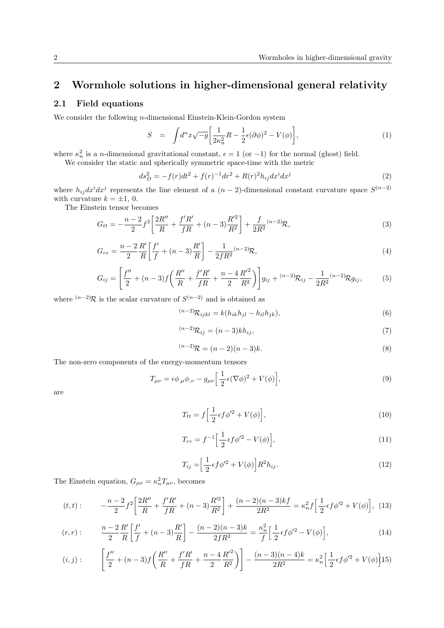# **2 Wormhole solutions in higher-dimensional general relativity**

## **2.1 Field equations**

We consider the following *n*-dimensional Einstein-Klein-Gordon system

$$
S = \int d^n x \sqrt{-g} \left[ \frac{1}{2\kappa_n^2} R - \frac{1}{2} \epsilon (\partial \phi)^2 - V(\phi) \right],\tag{1}
$$

where  $\kappa_n^2$  is a *n*-dimensional gravitational constant,  $\epsilon = 1$  (or  $-1$ ) for the normal (ghost) field.

We consider the static and spherically symmetric space-time with the metric

$$
ds_D^2 = -f(r)dt^2 + f(r)^{-1}dr^2 + R(r)^2h_{ij}dx^idx^j
$$
\n(2)

where  $h_{ij}dx^idx^j$  represents the line element of a  $(n-2)$ -dimensional constant curvature space  $S^{(n-2)}$ with curvature  $k = \pm 1, 0$ .

The Einstein tensor becomes

$$
G_{tt} = -\frac{n-2}{2}f^2 \left[ \frac{2R''}{R} + \frac{f'R'}{fR} + (n-3)\frac{R'^2}{R^2} \right] + \frac{f}{2R^2}^{(n-2)} \mathcal{R},\tag{3}
$$

$$
G_{rr} = \frac{n-2}{2} \frac{R'}{R} \left[ \frac{f'}{f} + (n-3) \frac{R'}{R} \right] - \frac{1}{2fR^2} (n-2) R, \tag{4}
$$

$$
G_{ij} = \left[\frac{f''}{2} + (n-3)f\left(\frac{R''}{R} + \frac{f'R'}{fR} + \frac{n-4}{2}\frac{R'^2}{R^2}\right)\right]g_{ij} + (n-2)\mathcal{R}_{ij} - \frac{1}{2R^2}(n-2)\mathcal{R}g_{ij},\tag{5}
$$

where  $(n-2)R$  is the scalar curvature of  $S^{(n-2)}$  and is obtained as

$$
^{(n-2)}\mathcal{R}_{ijkl} = k(h_{ik}h_{jl} - h_{il}h_{jk}), \qquad (6)
$$

$$
^{(n-2)}\mathcal{R}_{ij} = (n-3)kh_{ij},\tag{7}
$$

$$
^{(n-2)}\mathcal{R} = (n-2)(n-3)k.
$$
 (8)

The non-zero components of the energy-momentum tensors

$$
T_{\mu\nu} = \epsilon \phi_{,\mu} \phi_{,\nu} - g_{\mu\nu} \left[ \frac{1}{2} \epsilon (\nabla \phi)^2 + V(\phi) \right],\tag{9}
$$

are

$$
T_{tt} = f\left[\frac{1}{2}\epsilon f \phi'^2 + V(\phi)\right],\tag{10}
$$

$$
T_{rr} = f^{-1} \left[ \frac{1}{2} \epsilon f \phi'^2 - V(\phi) \right],\tag{11}
$$

$$
T_{ij} = \left[\frac{1}{2}\epsilon f \phi'^2 + V(\phi)\right] R^2 h_{ij}.
$$
\n(12)

The Einstein equation,  $G_{\mu\nu} = \kappa_n^2 T_{\mu\nu}$ , becomes

$$
(t,t): \qquad -\frac{n-2}{2}f^2\bigg[\frac{2R''}{R} + \frac{f'R'}{fR} + (n-3)\frac{R'^2}{R^2}\bigg] + \frac{(n-2)(n-3)kf}{2R^2} = \kappa_n^2 f\bigg[\frac{1}{2}\epsilon f\phi'^2 + V(\phi)\bigg],\tag{13}
$$

$$
(r,r): \qquad \frac{n-2}{2}\frac{R'}{R}\bigg[\frac{f'}{f} + (n-3)\frac{R'}{R}\bigg] - \frac{(n-2)(n-3)k}{2fR^2} = \frac{\kappa_n^2}{f}\bigg[\frac{1}{2}\epsilon f\phi'^2 - V(\phi)\bigg],\tag{14}
$$

$$
(i,j): \qquad \left[\frac{f''}{2} + (n-3)f\left(\frac{R''}{R} + \frac{f'R'}{fR} + \frac{n-4}{2}\frac{R'^2}{R^2}\right)\right] - \frac{(n-3)(n-4)k}{2R^2} = \kappa_n^2 \left[\frac{1}{2}\epsilon f \phi'^2 + V(\phi)\right]15
$$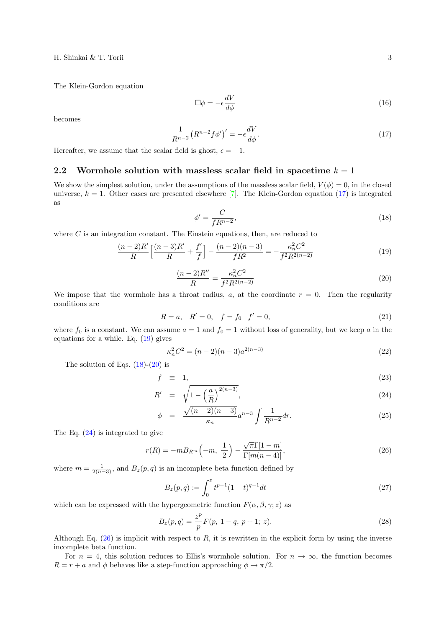The Klein-Gordon equation

$$
\Box \phi = -\epsilon \frac{dV}{d\phi} \tag{16}
$$

becomes

$$
\frac{1}{R^{n-2}}\left(R^{n-2}f\phi'\right)' = -\epsilon \frac{dV}{d\phi}.\tag{17}
$$

Hereafter, we assume that the scalar field is ghost,  $\epsilon = -1$ .

### **2.2 Wormhole solution with massless scalar field in spacetime** *k* = 1

We show the simplest solution, under the assumptions of the massless scalar field,  $V(\phi) = 0$ , in the closed universe,  $k = 1$ . Other cases are presented elsewhere [7]. The Klein-Gordon equation (17) is integrated as

$$
\phi' = \frac{C}{fR^{n-2}},\tag{18}
$$

where *C* is an integr[ati](#page-6-4)on constant. The Einstein equations, then, are reduced to

$$
\frac{(n-2)R'}{R}\left[\frac{(n-3)R'}{R} + \frac{f'}{f}\right] - \frac{(n-2)(n-3)}{fR^2} = -\frac{\kappa_n^2 C^2}{f^2 R^{2(n-2)}}\tag{19}
$$

$$
\frac{(n-2)R''}{R} = \frac{\kappa_n^2 C^2}{f^2 R^{2(n-2)}}
$$
\n(20)

We impose that the wormhole has a throat radius,  $a$ , at the coordinate  $r = 0$ . Then the regularity conditions are

$$
R = a, \quad R' = 0, \quad f = f_0 \quad f' = 0,
$$
\n(21)

where  $f_0$  is a constant. We can assume  $a = 1$  and  $f_0 = 1$  without loss of generality, but we keep a in the equations for a while. Eq. (19) gives

$$
\kappa_n^2 C^2 = (n-2)(n-3)a^{2(n-3)}
$$
\n(22)

The solution of Eqs.  $(18)-(20)$  is

$$
f \equiv 1,\tag{23}
$$

$$
R' = \sqrt{1 - \left(\frac{a}{R}\right)^{2(n-3)}},\tag{24}
$$

<span id="page-2-0"></span>
$$
\phi = \frac{\sqrt{(n-2)(n-3)}}{\kappa_n} a^{n-3} \int \frac{1}{R^{n-2}} dr. \tag{25}
$$

The Eq. (24) is integrated to give

$$
r(R) = -mB_{R^m}\left(-m, \frac{1}{2}\right) - \frac{\sqrt{\pi}\Gamma[1-m]}{\Gamma[m(n-4)]},
$$
\n(26)

where  $m = \frac{1}{2(n-3)}$  $m = \frac{1}{2(n-3)}$  $m = \frac{1}{2(n-3)}$ , and  $B_z(p,q)$  is an incomplete beta function defined by

$$
B_z(p,q) := \int_0^z t^{p-1} (1-t)^{q-1} dt
$$
\n(27)

which can be expressed with the hypergeometric function  $F(\alpha, \beta, \gamma; z)$  as

$$
B_z(p,q) = \frac{z^p}{p} F(p, 1-q, p+1; z).
$$
 (28)

Although Eq. (26) is implicit with respect to *R*, it is rewritten in the explicit form by using the inverse incomplete beta function.

For  $n = 4$ , this solution reduces to Ellis's wormhole solution. For  $n \to \infty$ , the function becomes  $R = r + a$  and  $\phi$  behaves like a step-function approaching  $\phi \rightarrow \pi/2$ .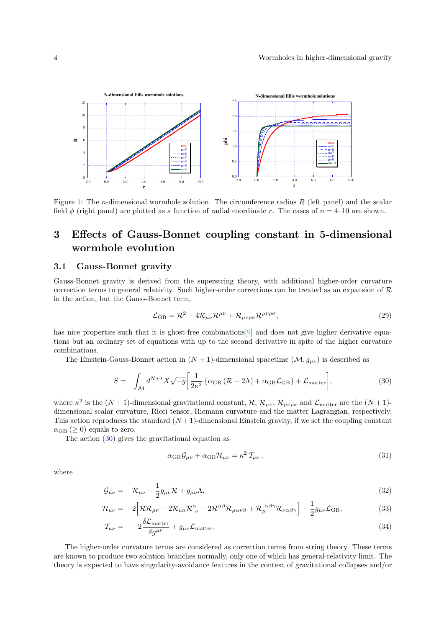

Figure 1: The *n*-dimensional wormhole solution. The circumference radius *R* (left panel) and the scalar field  $\phi$  (right panel) are plotted as a function of radial coordinate *r*. The cases of  $n = 4$ –10 are shown.

# **3 Effects of Gauss-Bonnet coupling constant in 5-dimensional wormhole evolution**

## **3.1 Gauss-Bonnet gravity**

Gauss-Bonnet gravity is derived from the superstring theory, with additional higher-order curvature correction terms to general relativity. Such higher-order corrections can be treated as an expansion of  $R$ in the action, but the Gauss-Bonnet term,

$$
\mathcal{L}_{GB} = \mathcal{R}^2 - 4\mathcal{R}_{\mu\nu}\mathcal{R}^{\mu\nu} + \mathcal{R}_{\mu\nu\rho\sigma}\mathcal{R}^{\mu\nu\rho\sigma},\tag{29}
$$

has nice properties such that it is ghost-free combinations [9] and does not give higher derivative equations but an ordinary set of equations with up to the second derivative in spite of the higher curvature combinations.

The Einstein-Gauss-Bonnet action in  $(N + 1)$ -dimensional spacetime  $(M, g_{\mu\nu})$  is described as

$$
S = \int_{\mathcal{M}} d^{N+1} X \sqrt{-g} \left[ \frac{1}{2\kappa^2} \left\{ \alpha_{\rm GR} \left( \mathcal{R} - 2\Lambda \right) + \alpha_{\rm GB} \mathcal{L}_{\rm GB} \right\} + \mathcal{L}_{\rm matter} \right],\tag{30}
$$

where  $\kappa^2$  is the  $(N+1)$ -dimensional gravitational constant,  $\mathcal{R}, \mathcal{R}_{\mu\nu}, \mathcal{R}_{\mu\nu\rho\sigma}$  and  $\mathcal{L}_{\text{matter}}$  are the  $(N+1)$ dimensional scalar curvature, Ricci tensor, Riemann curvature and the matter Lagrangian, respectively. This action reproduces the standard  $(N+1)$ -dimensional Einstein gravity, if we set the coupling constant  $\alpha_{\text{GB}} \geq 0$  equals to zero.

The action (30) gives the gravitational equation as

$$
\alpha_{\rm GR} \mathcal{G}_{\mu\nu} + \alpha_{\rm GB} \mathcal{H}_{\mu\nu} = \kappa^2 \, \mathcal{T}_{\mu\nu} \,, \tag{31}
$$

where

$$
\mathcal{G}_{\mu\nu} = \mathcal{R}_{\mu\nu} - \frac{1}{2} g_{\mu\nu} \mathcal{R} + g_{\mu\nu} \Lambda, \tag{32}
$$

$$
\mathcal{H}_{\mu\nu} = 2 \Big[ \mathcal{R} \mathcal{R}_{\mu\nu} - 2 \mathcal{R}_{\mu\alpha} \mathcal{R}^{\alpha}_{\ \nu} - 2 \mathcal{R}^{\alpha\beta} \mathcal{R}_{\mu\alpha\nu\beta} + \mathcal{R}_{\mu}^{\ \alpha\beta\gamma} \mathcal{R}_{\nu\alpha\beta\gamma} \Big] - \frac{1}{2} g_{\mu\nu} \mathcal{L}_{GB}, \tag{33}
$$

$$
\mathcal{T}_{\mu\nu} = -2 \frac{\delta \mathcal{L}_{\text{matter}}}{\delta g^{\mu\nu}} + g_{\mu\nu} \mathcal{L}_{\text{matter}}.
$$
\n(34)

The higher-order curvature terms are considered as correction terms from string theory. These terms are known to produce two solution branches normally, only one of which has general-relativity limit. The theory is expected to have singularity-avoidance features in the context of gravitational collapses and/or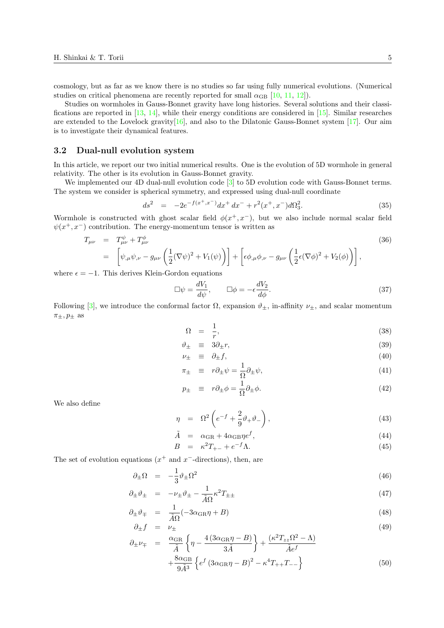cosmology, but as far as we know there is no studies so far using fully numerical evolutions. (Numerical studies on critical phenomena are recently reported for small  $\alpha_{\text{GB}}$  [10, 11, 12]).

Studies on wormholes in Gauss-Bonnet gravity have long histories. Several solutions and their classifications are reported in  $[13, 14]$ , while their energy conditions are considered in  $[15]$ . Similar researches are extended to the Lovelock gravity[16], and also to the Dilatonic Gauss-Bonnet system  $[17]$ . Our aim is to investigate their dynamical features.

#### **3.2 Dual-null evo[lut](#page-6-5)[ion](#page-6-6) system**

In this article, we report our two initi[al n](#page-6-7)umerical results. One is the evolution of 5D worm[hole](#page-6-8) in general relativity. The other is its evolution in Gauss-Bonnet gravity.

We implemented our 4D dual-null evolution code  $\boxed{3}$  to 5D evolution code with Gauss-Bonnet terms. The system we consider is spherical symmetry, and expressed using dual-null coordinate

$$
ds^{2} = -2e^{-f(x^{+},x^{-})}dx^{+} dx^{-} + r^{2}(x^{+},x^{-})d\Omega_{3}^{2}.
$$
\n(35)

Wormhole is constructed with ghost scalar field  $\phi(x^+, x^-)$  $\phi(x^+, x^-)$  $\phi(x^+, x^-)$ , but we also include normal scalar field  $\psi(x^+, x^-)$  contribution. The energy-momentum tensor is written as

$$
T_{\mu\nu} = T^{\psi}_{\mu\nu} + T^{\phi}_{\mu\nu}
$$
\n
$$
= \left[ \psi_{,\mu} \psi_{,\nu} - g_{\mu\nu} \left( \frac{1}{2} (\nabla \psi)^2 + V_1(\psi) \right) \right] + \left[ \epsilon \phi_{,\mu} \phi_{,\nu} - g_{\mu\nu} \left( \frac{1}{2} \epsilon (\nabla \phi)^2 + V_2(\phi) \right) \right],
$$
\n(36)

where  $\epsilon = -1$ . This derives Klein-Gordon equations

$$
\Box \psi = \frac{dV_1}{d\psi}, \qquad \Box \phi = -\epsilon \frac{dV_2}{d\phi}.
$$
\n(37)

Following [3], we introduce the conformal factor  $\Omega$ , expansion  $\vartheta_{\pm}$ , in-affinity  $\nu_{\pm}$ , and scalar momentum  $\pi_{\pm}, p_{\pm}$  as

$$
\Omega = \frac{1}{r},\tag{38}
$$

$$
\vartheta_{\pm} \equiv 3\partial_{\pm}r,\tag{39}
$$

$$
\nu_{\pm} \equiv \partial_{\pm} f, \tag{40}
$$

$$
\pi_{\pm} \equiv r \partial_{\pm} \psi = \frac{1}{\Omega} \partial_{\pm} \psi, \tag{41}
$$

$$
p_{\pm} \equiv r \partial_{\pm} \phi = \frac{1}{\Omega} \partial_{\pm} \phi. \tag{42}
$$

We also define

$$
\eta = \Omega^2 \left( e^{-f} + \frac{2}{9} \vartheta_+ \vartheta_- \right), \tag{43}
$$

$$
\tilde{A} = \alpha_{\rm GR} + 4\alpha_{\rm GB}\eta e^f,\tag{44}
$$

$$
B = \kappa^2 T_{+-} + e^{-f} \Lambda. \tag{45}
$$

The set of evolution equations (*x* <sup>+</sup> and *x <sup>−</sup>*-directions), then, are

$$
\partial_{\pm}\Omega = -\frac{1}{3}\vartheta_{\pm}\Omega^2 \tag{46}
$$

$$
\partial_{\pm} \vartheta_{\pm} = -\nu_{\pm} \vartheta_{\pm} - \frac{1}{\tilde{A}\Omega} \kappa^2 T_{\pm \pm} \tag{47}
$$

$$
\partial_{\pm}\vartheta_{\mp} = \frac{1}{\tilde{A}\Omega}(-3\alpha_{\rm GR}\eta + B) \tag{48}
$$

$$
\partial_{\pm} f = \nu_{\pm} \tag{49}
$$

$$
\partial_{\pm} \nu_{\mp} = \frac{\alpha_{\rm GR}}{\tilde{A}} \left\{ \eta - \frac{4 \left( 3 \alpha_{\rm GR} \eta - B \right)}{3 \tilde{A}} \right\} + \frac{(\kappa^2 T_{zz} \Omega^2 - \Lambda)}{\tilde{A} e^f} + \frac{8 \alpha_{\rm GR}}{9 \tilde{A}^3} \left\{ e^f \left( 3 \alpha_{\rm GR} \eta - B \right)^2 - \kappa^4 T_{++} T_{--} \right\}
$$
(50)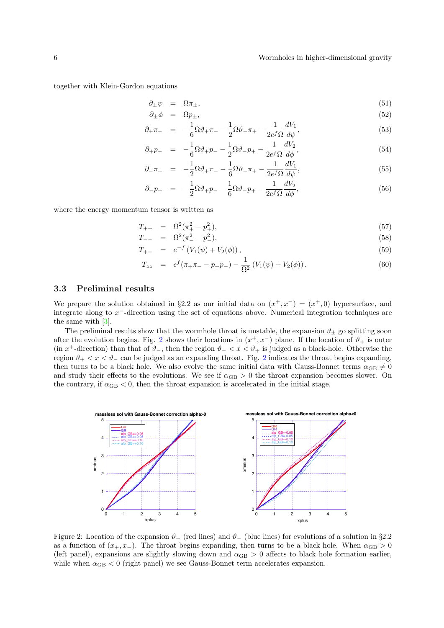together with Klein-Gordon equations

$$
\partial_{\pm}\psi = \Omega\pi_{\pm},\tag{51}
$$

$$
\partial_{\pm}\phi = \Omega p_{\pm},\tag{52}
$$

$$
\partial_{+}\pi_{-} = -\frac{1}{6}\Omega\vartheta_{+}\pi_{-} - \frac{1}{2}\Omega\vartheta_{-}\pi_{+} - \frac{1}{2e^{f}\Omega}\frac{dV_{1}}{d\psi},\tag{53}
$$

$$
\partial_{+}p_{-} = -\frac{1}{6}\Omega\vartheta_{+}p_{-} - \frac{1}{2}\Omega\vartheta_{-}p_{+} - \frac{1}{2e^{f}\Omega}\frac{dV_{2}}{d\phi},\tag{54}
$$

$$
\partial_{-} \pi_{+} = -\frac{1}{2} \Omega \vartheta_{+} \pi_{-} - \frac{1}{6} \Omega \vartheta_{-} \pi_{+} - \frac{1}{2 e^f \Omega} \frac{dV_1}{d\psi}, \tag{55}
$$

$$
\partial_{-}p_{+} = -\frac{1}{2}\Omega\vartheta_{+}p_{-} - \frac{1}{6}\Omega\vartheta_{-}p_{+} - \frac{1}{2e^{f}\Omega}\frac{dV_{2}}{d\phi},\tag{56}
$$

where the energy momentum tensor is written as

$$
T_{++} = \Omega^2(\pi_+^2 - p_+^2), \tag{57}
$$

$$
T_{--} = \Omega^2(\pi_-^2 - p_-^2), \tag{58}
$$

$$
T_{+-} = e^{-f} (V_1(\psi) + V_2(\phi)), \qquad (59)
$$

$$
T_{zz} = e^f(\pi_+\pi_- - p_+p_-) - \frac{1}{\Omega^2} (V_1(\psi) + V_2(\phi)). \tag{60}
$$

#### **3.3 Preliminal results**

We prepare the solution obtained in §2.2 as our initial data on  $(x^+, x^-) = (x^+, 0)$  hypersurface, and integrate along to *x <sup>−</sup>*-direction using the set of equations above. Numerical integration techniques are the same with [3].

The preliminal results show that the wormhole throat is unstable, the expansion  $\vartheta_{\pm}$  go splitting soon after the evolution begins. Fig. 2 shows their locations in  $(x^+, x^-)$  plane. If the location of  $\vartheta_+$  is outer (in *x*<sup>+</sup>-direction) than that of  $\vartheta$ <sub>−</sub>, then the region  $\vartheta$ <sub>−</sub>  $\lt x$   $\lt \vartheta$ <sub>+</sub> is judged as a black-hole. Otherwise the region  $\vartheta_+ < x < \vartheta_ \vartheta_+ < x < \vartheta_ \vartheta_+ < x < \vartheta_-$  can be judged as an expanding throat. Fig. 2 indicates the throat begins expanding, then turns to be a black hole. We also evolve the same initial data with Gauss-Bonnet terms  $\alpha_{\text{GB}} \neq 0$ and study their effects to the e[vo](#page-5-0)lutions. We see if  $\alpha_{GB} > 0$  the throat expansion becomes slower. On the contrary, if  $\alpha_{\text{GB}} < 0$ , then the throat expansion is accelerated in the initial stage.



<span id="page-5-0"></span>Figure 2: Location of the expansion *ϑ*<sup>+</sup> (red lines) and *ϑ<sup>−</sup>* (blue lines) for evolutions of a solution in *§*2.2 as a function of  $(x_+, x_-)$ . The throat begins expanding, then turns to be a black hole. When  $\alpha_{GB} > 0$ (left panel), expansions are slightly slowing down and  $\alpha_{\rm GB} > 0$  affects to black hole formation earlier, while when  $\alpha_{\text{GB}} < 0$  (right panel) we see Gauss-Bonnet term accelerates expansion.